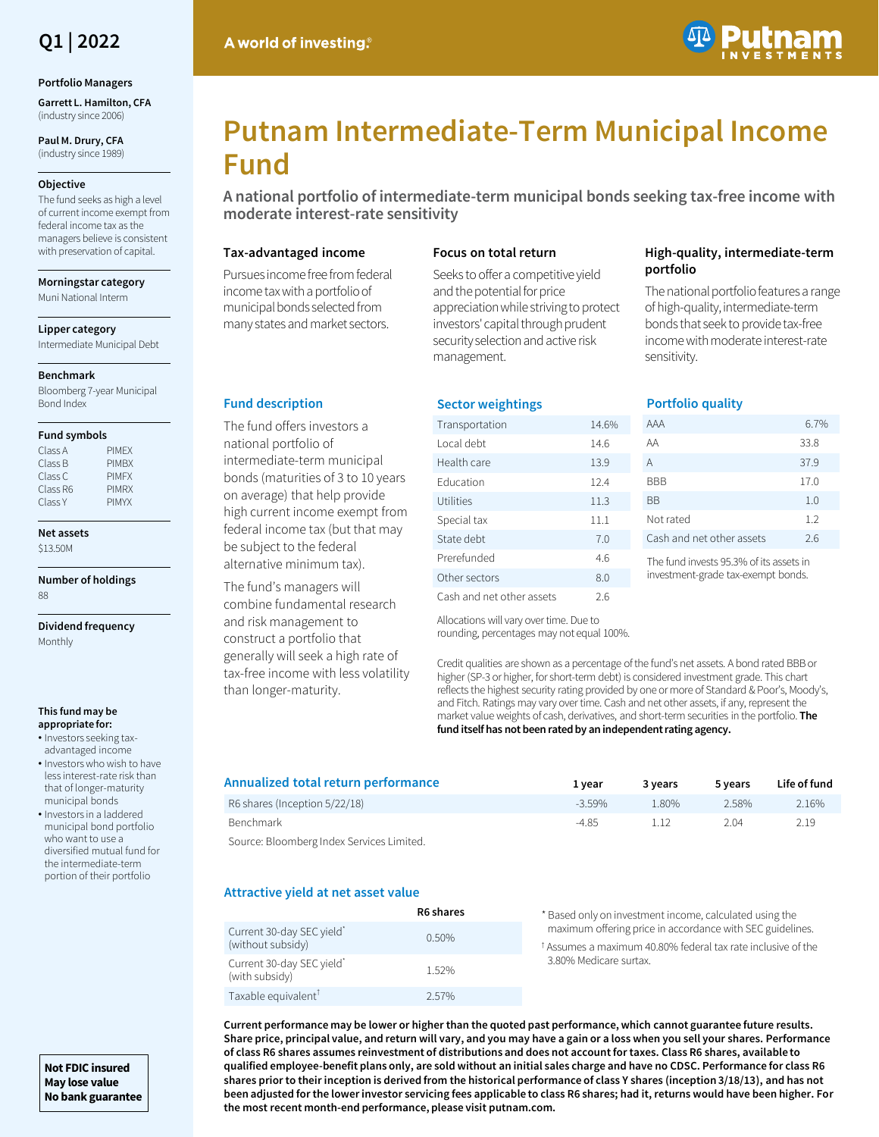

#### **Portfolio Managers**

**Garrett L. Hamilton, CFA**  (industry since 2006)

**Paul M. Drury, CFA**  (industry since 1989)

### **Objective**

The fund seeks as high a level of current income exempt from federal income tax as the managers believe is consistent with preservation of capital.

**Morningstar category**

Muni National Interm

**Lipper category**

Intermediate Municipal Debt

#### **Benchmark**

Bloomberg 7-year Municipal Bond Index

#### **Fund symbols**

| Class A  | <b>PIMFX</b> |
|----------|--------------|
| Class B  | <b>PIMBX</b> |
| Class C  | <b>PIMFX</b> |
| Class R6 | <b>PIMRX</b> |
| Class Y  | <b>PIMYX</b> |

**Net assets** \$13.50M

**Number of holdings** 88

**Dividend frequency** Monthly

#### **This fund may be appropriate for:**

- Investors seeking taxadvantaged income
- Investors who wish to have less interest-rate risk than that of longer-maturity municipal bonds
- Investors in a laddered municipal bond portfolio who want to use a diversified mutual fund for the intermediate-term portion of their portfolio

**Not FDIC insured May lose value No bank guarantee**

# A world of investing.



# **Putnam Intermediate-Term Municipal Income Fund**

**A national portfolio of intermediate-term municipal bonds seeking tax-free income with moderate interest-rate sensitivity**

## **Tax-advantaged income**

Pursues income free from federal income tax with a portfolio of municipal bonds selected from many states and market sectors.

## **Focus on total return**

**Sector weightings**

Seeks to offer a competitive yield and the potential for price appreciation while striving to protect investors' capital through prudent security selection and active risk management.

## **High-quality, intermediate-term portfolio**

The national portfolio features a range of high-quality, intermediate-term bonds that seek to provide tax-free income with moderate interest-rate sensitivity.

## **Fund description**

The fund offers investors a national portfolio of intermediate-term municipal bonds (maturities of 3 to 10 years on average) that help provide high current income exempt from federal income tax (but that may be subject to the federal alternative minimum tax).

The fund's managers will combine fundamental research and risk management to construct a portfolio that generally will seek a high rate of tax-free income with less volatility than longer-maturity.

| Transportation            |  | 14.6% |
|---------------------------|--|-------|
| Local debt                |  | 14.6  |
| Health care               |  | 13.9  |
| <b>Education</b>          |  | 12.4  |
| Utilities                 |  | 11.3  |
| Special tax               |  | 11.1  |
| State debt                |  | 7.0   |
| Prerefunded               |  | 4.6   |
| Other sectors             |  | 8.0   |
| Cash and net other assets |  | 2.6   |

## **Portfolio quality**

| AAA                       | $6.7\%$ |
|---------------------------|---------|
| AA                        | 33.8    |
| A                         | 37.9    |
| BBB                       | 17.0    |
| ВB                        | 1.0     |
| Not rated                 | 1.2     |
| Cash and net other assets | 2.6     |
|                           |         |

The fund invests 95.3% of its assets in investment-grade tax-exempt bonds.

Allocations will vary over time. Due to rounding, percentages may not equal 100%.

Credit qualities are shown as a percentage of the fund's net assets. A bond rated BBB or higher (SP-3 or higher, for short-term debt) is considered investment grade. This chart reflects the highest security rating provided by one or more of Standard & Poor's, Moody's, and Fitch. Ratings may vary over time. Cash and net other assets, if any, represent the market value weights of cash, derivatives, and short-term securities in the portfolio. **The fund itself has not been rated by an independent rating agency.**

| Annualized total return performance | 1 vear    | 3 years | 5 vears | Life of fund |
|-------------------------------------|-----------|---------|---------|--------------|
| R6 shares (Inception 5/22/18)       | $-3.59\%$ | 1.80%   | 2.58%   | 2.16%        |
| Benchmark                           | -4.85     | l 12    | 2.04    | 2.19         |
| $\sim$ 1                            |           |         |         |              |

Source: Bloomberg Index Services Limited.

## **Attractive yield at net asset value**

|                                               | R6 shares | * Based only on investment income, calculated using the                                                                              |
|-----------------------------------------------|-----------|--------------------------------------------------------------------------------------------------------------------------------------|
| Current 30-day SEC yield<br>(without subsidy) | $0.50\%$  | maximum offering price in accordance with SEC guidelines.<br><sup>t</sup> Assumes a maximum 40.80% federal tax rate inclusive of the |
| Current 30-day SEC yield<br>(with subsidy)    | 1.52%     | 3.80% Medicare surtax.                                                                                                               |
| Taxable equivalent <sup>1</sup>               | 2.57%     |                                                                                                                                      |

**Current performance may be lower or higher than the quoted past performance, which cannot guarantee future results. Share price, principal value, and return will vary, and you may have a gain or a loss when you sell your shares. Performance of class R6 shares assumes reinvestment of distributions and does not account for taxes. Class R6 shares, available to qualified employee-benefit plans only, are sold without an initial sales charge and have no CDSC. Performance for class R6 shares prior to their inception is derived from the historical performance of class Y shares (inception 3/18/13), and has not been adjusted for the lower investor servicing fees applicable to class R6 shares; had it, returns would have been higher. For the most recent month-end performance, please visit putnam.com.**